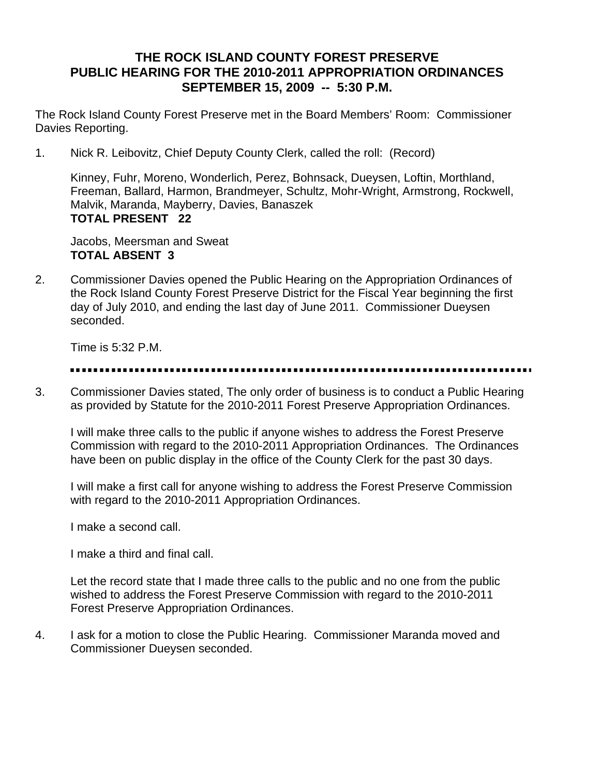# **THE ROCK ISLAND COUNTY FOREST PRESERVE PUBLIC HEARING FOR THE 2010-2011 APPROPRIATION ORDINANCES SEPTEMBER 15, 2009 -- 5:30 P.M.**

The Rock Island County Forest Preserve met in the Board Members' Room: Commissioner Davies Reporting.

1. Nick R. Leibovitz, Chief Deputy County Clerk, called the roll: (Record)

Kinney, Fuhr, Moreno, Wonderlich, Perez, Bohnsack, Dueysen, Loftin, Morthland, Freeman, Ballard, Harmon, Brandmeyer, Schultz, Mohr-Wright, Armstrong, Rockwell, Malvik, Maranda, Mayberry, Davies, Banaszek **TOTAL PRESENT 22** 

Jacobs, Meersman and Sweat **TOTAL ABSENT 3** 

2. Commissioner Davies opened the Public Hearing on the Appropriation Ordinances of the Rock Island County Forest Preserve District for the Fiscal Year beginning the first day of July 2010, and ending the last day of June 2011. Commissioner Dueysen seconded.

Time is 5:32 P.M.

3. Commissioner Davies stated, The only order of business is to conduct a Public Hearing as provided by Statute for the 2010-2011 Forest Preserve Appropriation Ordinances.

I will make three calls to the public if anyone wishes to address the Forest Preserve Commission with regard to the 2010-2011 Appropriation Ordinances. The Ordinances have been on public display in the office of the County Clerk for the past 30 days.

I will make a first call for anyone wishing to address the Forest Preserve Commission with regard to the 2010-2011 Appropriation Ordinances.

I make a second call.

I make a third and final call.

Let the record state that I made three calls to the public and no one from the public wished to address the Forest Preserve Commission with regard to the 2010-2011 Forest Preserve Appropriation Ordinances.

4. I ask for a motion to close the Public Hearing. Commissioner Maranda moved and Commissioner Dueysen seconded.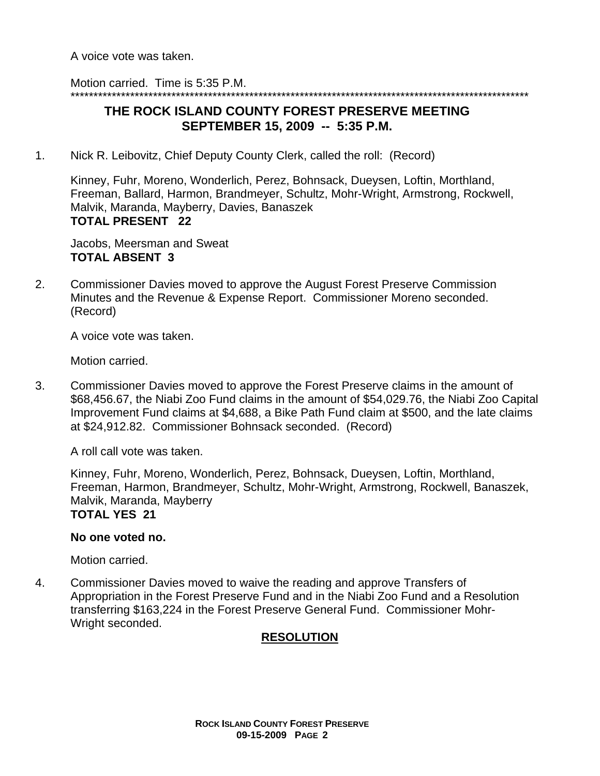A voice vote was taken.

Motion carried. Time is 5:35 P.M.

## \*\*\*\*\*\*\*\*\*\*\*\*\*\*\*\*\*\*\*\*\*\*\*\*\*\*\*\*\*\*\*\*\*\*\*\*\*\*\*\*\*\*\*\*\*\*\*\*\*\*\*\*\*\*\*\*\*\*\*\*\*\*\*\*\*\*\*\*\*\*\*\*\*\*\*\*\*\*\*\*\*\*\*\*\*\*\*\*\*\*\*\*\*\*\*\*\*\*\*\* **THE ROCK ISLAND COUNTY FOREST PRESERVE MEETING SEPTEMBER 15, 2009 -- 5:35 P.M.**

1. Nick R. Leibovitz, Chief Deputy County Clerk, called the roll: (Record)

Kinney, Fuhr, Moreno, Wonderlich, Perez, Bohnsack, Dueysen, Loftin, Morthland, Freeman, Ballard, Harmon, Brandmeyer, Schultz, Mohr-Wright, Armstrong, Rockwell, Malvik, Maranda, Mayberry, Davies, Banaszek **TOTAL PRESENT 22** 

Jacobs, Meersman and Sweat **TOTAL ABSENT 3** 

2. Commissioner Davies moved to approve the August Forest Preserve Commission Minutes and the Revenue & Expense Report. Commissioner Moreno seconded. (Record)

A voice vote was taken.

Motion carried.

3. Commissioner Davies moved to approve the Forest Preserve claims in the amount of \$68,456.67, the Niabi Zoo Fund claims in the amount of \$54,029.76, the Niabi Zoo Capital Improvement Fund claims at \$4,688, a Bike Path Fund claim at \$500, and the late claims at \$24,912.82. Commissioner Bohnsack seconded. (Record)

A roll call vote was taken.

Kinney, Fuhr, Moreno, Wonderlich, Perez, Bohnsack, Dueysen, Loftin, Morthland, Freeman, Harmon, Brandmeyer, Schultz, Mohr-Wright, Armstrong, Rockwell, Banaszek, Malvik, Maranda, Mayberry **TOTAL YES 21** 

### **No one voted no.**

Motion carried.

4. Commissioner Davies moved to waive the reading and approve Transfers of Appropriation in the Forest Preserve Fund and in the Niabi Zoo Fund and a Resolution transferring \$163,224 in the Forest Preserve General Fund. Commissioner Mohr-Wright seconded.

## **RESOLUTION**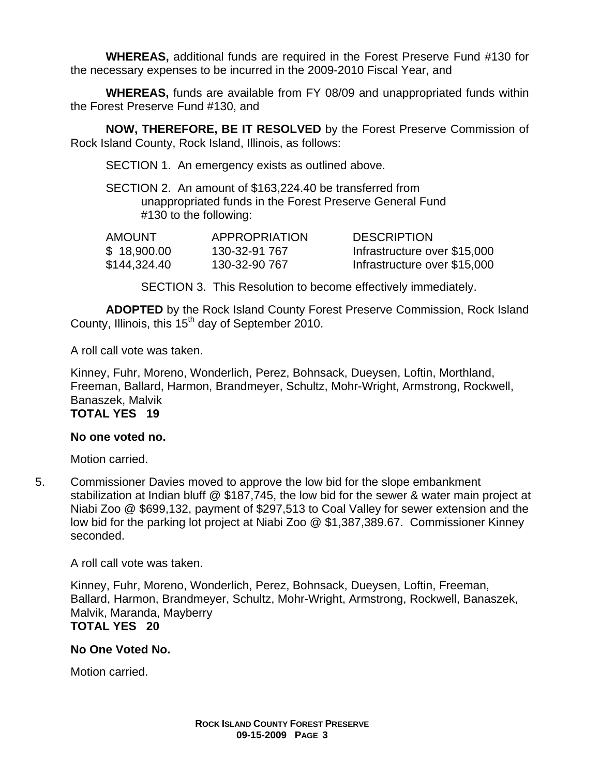**WHEREAS,** additional funds are required in the Forest Preserve Fund #130 for the necessary expenses to be incurred in the 2009-2010 Fiscal Year, and

**WHEREAS,** funds are available from FY 08/09 and unappropriated funds within the Forest Preserve Fund #130, and

**NOW, THEREFORE, BE IT RESOLVED** by the Forest Preserve Commission of Rock Island County, Rock Island, Illinois, as follows:

SECTION 1. An emergency exists as outlined above.

SECTION 2. An amount of \$163,224.40 be transferred from unappropriated funds in the Forest Preserve General Fund #130 to the following:

| <b>AMOUNT</b> | <b>APPROPRIATION</b> | <b>DESCRIPTION</b>           |
|---------------|----------------------|------------------------------|
| \$18,900.00   | 130-32-91 767        | Infrastructure over \$15,000 |
| \$144,324.40  | 130-32-90 767        | Infrastructure over \$15,000 |

SECTION 3. This Resolution to become effectively immediately.

**ADOPTED** by the Rock Island County Forest Preserve Commission, Rock Island County, Illinois, this  $15<sup>th</sup>$  day of September 2010.

A roll call vote was taken.

Kinney, Fuhr, Moreno, Wonderlich, Perez, Bohnsack, Dueysen, Loftin, Morthland, Freeman, Ballard, Harmon, Brandmeyer, Schultz, Mohr-Wright, Armstrong, Rockwell, Banaszek, Malvik

# **TOTAL YES 19**

## **No one voted no.**

Motion carried.

5. Commissioner Davies moved to approve the low bid for the slope embankment stabilization at Indian bluff @ \$187,745, the low bid for the sewer & water main project at Niabi Zoo @ \$699,132, payment of \$297,513 to Coal Valley for sewer extension and the low bid for the parking lot project at Niabi Zoo @ \$1,387,389.67. Commissioner Kinney seconded.

A roll call vote was taken.

Kinney, Fuhr, Moreno, Wonderlich, Perez, Bohnsack, Dueysen, Loftin, Freeman, Ballard, Harmon, Brandmeyer, Schultz, Mohr-Wright, Armstrong, Rockwell, Banaszek, Malvik, Maranda, Mayberry **TOTAL YES 20** 

## **No One Voted No.**

Motion carried.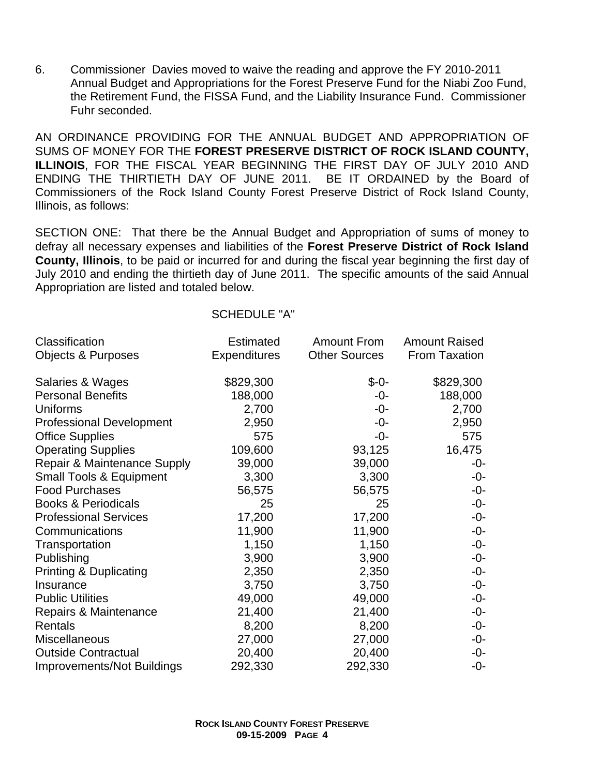6. Commissioner Davies moved to waive the reading and approve the FY 2010-2011 Annual Budget and Appropriations for the Forest Preserve Fund for the Niabi Zoo Fund, the Retirement Fund, the FISSA Fund, and the Liability Insurance Fund. Commissioner Fuhr seconded.

AN ORDINANCE PROVIDING FOR THE ANNUAL BUDGET AND APPROPRIATION OF SUMS OF MONEY FOR THE **FOREST PRESERVE DISTRICT OF ROCK ISLAND COUNTY, ILLINOIS**, FOR THE FISCAL YEAR BEGINNING THE FIRST DAY OF JULY 2010 AND ENDING THE THIRTIETH DAY OF JUNE 2011. BE IT ORDAINED by the Board of Commissioners of the Rock Island County Forest Preserve District of Rock Island County, Illinois, as follows:

SECTION ONE: That there be the Annual Budget and Appropriation of sums of money to defray all necessary expenses and liabilities of the **Forest Preserve District of Rock Island County, Illinois**, to be paid or incurred for and during the fiscal year beginning the first day of July 2010 and ending the thirtieth day of June 2011. The specific amounts of the said Annual Appropriation are listed and totaled below.

| Classification                     | <b>Estimated</b>    | <b>Amount From</b>   | <b>Amount Raised</b> |
|------------------------------------|---------------------|----------------------|----------------------|
| Objects & Purposes                 | <b>Expenditures</b> | <b>Other Sources</b> | <b>From Taxation</b> |
| Salaries & Wages                   | \$829,300           | $$ -0-$              | \$829,300            |
| <b>Personal Benefits</b>           | 188,000             | -0-                  | 188,000              |
| Uniforms                           | 2,700               | -0-                  | 2,700                |
| <b>Professional Development</b>    | 2,950               | -0-                  | 2,950                |
| <b>Office Supplies</b>             | 575                 | -0-                  | 575                  |
| <b>Operating Supplies</b>          | 109,600             | 93,125               | 16,475               |
| Repair & Maintenance Supply        | 39,000              | 39,000               | -0-                  |
| <b>Small Tools &amp; Equipment</b> | 3,300               | 3,300                | -0-                  |
| <b>Food Purchases</b>              | 56,575              | 56,575               | $-0-$                |
| <b>Books &amp; Periodicals</b>     | 25                  | 25                   | $-0-$                |
| <b>Professional Services</b>       | 17,200              | 17,200               | -0-                  |
| Communications                     | 11,900              | 11,900               | $-0-$                |
| Transportation                     | 1,150               | 1,150                | $-0-$                |
| Publishing                         | 3,900               | 3,900                | -0-                  |
| <b>Printing &amp; Duplicating</b>  | 2,350               | 2,350                | -0-                  |
| Insurance                          | 3,750               | 3,750                | $-0-$                |
| <b>Public Utilities</b>            | 49,000              | 49,000               | -0-                  |
| Repairs & Maintenance              | 21,400              | 21,400               | $-0-$                |
| Rentals                            | 8,200               | 8,200                | $-0-$                |
| Miscellaneous                      | 27,000              | 27,000               | $-0-$                |
| <b>Outside Contractual</b>         | 20,400              | 20,400               | -0-                  |
| <b>Improvements/Not Buildings</b>  | 292,330             | 292,330              | $-0-$                |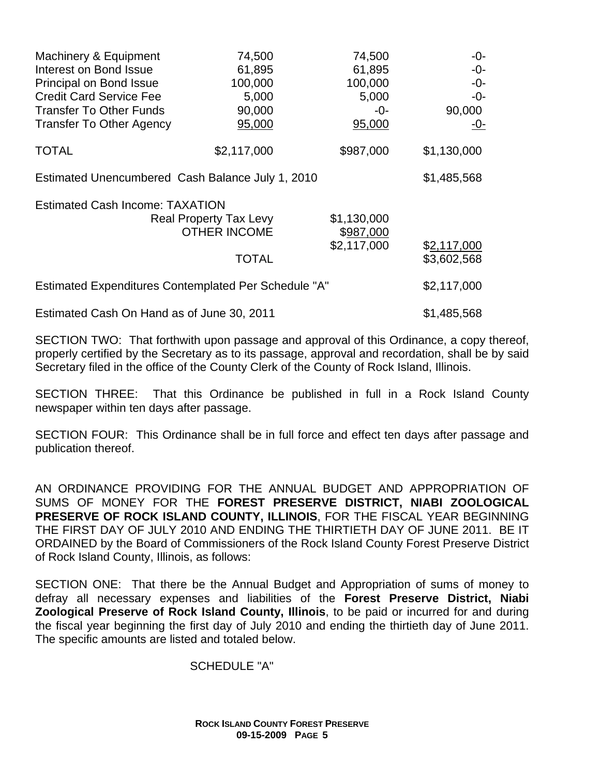| Machinery & Equipment                                | 74,500                                               | 74,500                   | $-0-$       |
|------------------------------------------------------|------------------------------------------------------|--------------------------|-------------|
| Interest on Bond Issue                               | 61,895                                               | 61,895                   | $-0-$       |
| Principal on Bond Issue                              | 100,000                                              | 100,000                  | -0-         |
| <b>Credit Card Service Fee</b>                       | 5,000                                                | 5,000                    | $-0-$       |
| <b>Transfer To Other Funds</b>                       | 90,000                                               | -0-                      | 90,000      |
| <b>Transfer To Other Agency</b>                      | 95,000                                               | 95,000                   | <u>-0-</u>  |
| <b>TOTAL</b>                                         | \$2,117,000                                          | \$987,000                | \$1,130,000 |
| Estimated Unencumbered Cash Balance July 1, 2010     |                                                      |                          | \$1,485,568 |
| <b>Estimated Cash Income: TAXATION</b>               |                                                      |                          |             |
|                                                      | <b>Real Property Tax Levy</b><br><b>OTHER INCOME</b> | \$1,130,000<br>\$987,000 |             |
|                                                      |                                                      | \$2,117,000              | \$2,117,000 |
|                                                      | TOTAL                                                |                          | \$3,602,568 |
| Estimated Expenditures Contemplated Per Schedule "A" |                                                      |                          | \$2,117,000 |
| Estimated Cash On Hand as of June 30, 2011           |                                                      |                          | \$1,485,568 |

SECTION TWO: That forthwith upon passage and approval of this Ordinance, a copy thereof, properly certified by the Secretary as to its passage, approval and recordation, shall be by said Secretary filed in the office of the County Clerk of the County of Rock Island, Illinois.

SECTION THREE: That this Ordinance be published in full in a Rock Island County newspaper within ten days after passage.

SECTION FOUR: This Ordinance shall be in full force and effect ten days after passage and publication thereof.

AN ORDINANCE PROVIDING FOR THE ANNUAL BUDGET AND APPROPRIATION OF SUMS OF MONEY FOR THE **FOREST PRESERVE DISTRICT, NIABI ZOOLOGICAL PRESERVE OF ROCK ISLAND COUNTY, ILLINOIS**, FOR THE FISCAL YEAR BEGINNING THE FIRST DAY OF JULY 2010 AND ENDING THE THIRTIETH DAY OF JUNE 2011. BE IT ORDAINED by the Board of Commissioners of the Rock Island County Forest Preserve District of Rock Island County, Illinois, as follows:

SECTION ONE: That there be the Annual Budget and Appropriation of sums of money to defray all necessary expenses and liabilities of the **Forest Preserve District, Niabi Zoological Preserve of Rock Island County, Illinois**, to be paid or incurred for and during the fiscal year beginning the first day of July 2010 and ending the thirtieth day of June 2011. The specific amounts are listed and totaled below.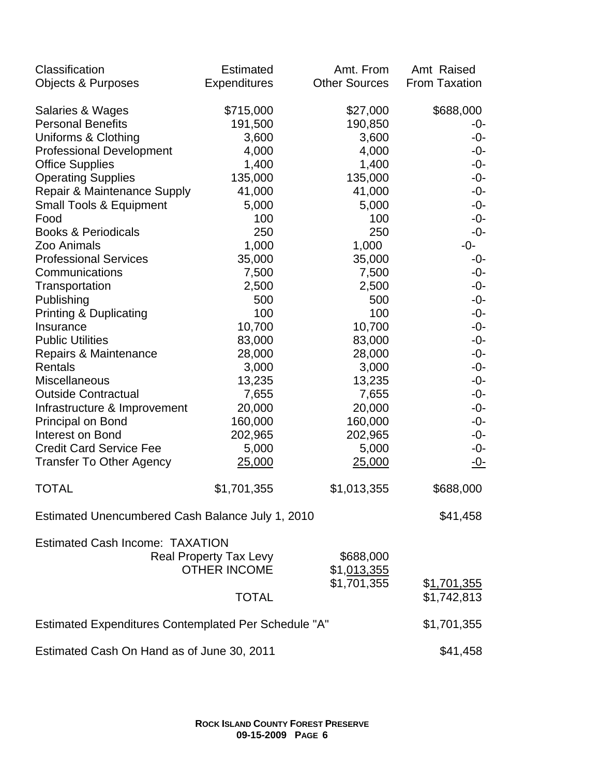| Classification                                       | <b>Estimated</b>              | Amt. From            | Amt Raised          |
|------------------------------------------------------|-------------------------------|----------------------|---------------------|
| <b>Objects &amp; Purposes</b>                        | <b>Expenditures</b>           | <b>Other Sources</b> | From Taxation       |
| Salaries & Wages                                     | \$715,000                     | \$27,000             | \$688,000           |
| <b>Personal Benefits</b>                             | 191,500                       | 190,850              | -0-                 |
| Uniforms & Clothing                                  | 3,600                         | 3,600                | $-0-$               |
| <b>Professional Development</b>                      | 4,000                         | 4,000                | $-0-$               |
| <b>Office Supplies</b>                               | 1,400                         | 1,400                | $-0-$               |
| <b>Operating Supplies</b>                            | 135,000                       | 135,000              | $-0-$               |
| Repair & Maintenance Supply                          | 41,000                        | 41,000               | $-0-$               |
| <b>Small Tools &amp; Equipment</b>                   | 5,000                         | 5,000                | $-0-$               |
| Food                                                 | 100                           | 100                  | $-0-$               |
| <b>Books &amp; Periodicals</b>                       | 250                           | 250                  | $-0-$               |
| Zoo Animals                                          | 1,000                         | 1,000                | -0-                 |
| <b>Professional Services</b>                         | 35,000                        | 35,000               | -0-                 |
| Communications                                       | 7,500                         | 7,500                | $-0-$               |
| Transportation                                       | 2,500                         | 2,500                | $-0-$               |
| Publishing                                           | 500                           | 500                  | $-0-$               |
| <b>Printing &amp; Duplicating</b>                    | 100                           | 100                  | $-0-$               |
| Insurance                                            | 10,700                        | 10,700               | $-0-$               |
| <b>Public Utilities</b>                              | 83,000                        | 83,000               | $-0-$               |
| Repairs & Maintenance                                | 28,000                        | 28,000               | $-0-$               |
| Rentals                                              | 3,000                         | 3,000                | $-0-$               |
| Miscellaneous                                        | 13,235                        | 13,235               | $-0-$               |
| <b>Outside Contractual</b>                           | 7,655                         | 7,655                | $-0-$               |
| Infrastructure & Improvement                         | 20,000                        | 20,000               | $-0-$               |
| Principal on Bond                                    | 160,000                       | 160,000              | $-0-$               |
| Interest on Bond                                     | 202,965                       | 202,965              | $-0-$               |
| <b>Credit Card Service Fee</b>                       | 5,000                         | 5,000                | $-0-$               |
| <b>Transfer To Other Agency</b>                      | 25,000                        | 25,000               | <u>-0-</u>          |
| <b>TOTAL</b>                                         | \$1,701,355                   | \$1,013,355          | \$688,000           |
| Estimated Unencumbered Cash Balance July 1, 2010     |                               |                      | \$41,458            |
| <b>Estimated Cash Income: TAXATION</b>               |                               |                      |                     |
|                                                      | <b>Real Property Tax Levy</b> | \$688,000            |                     |
|                                                      | <b>OTHER INCOME</b>           | \$1,013,355          |                     |
|                                                      |                               | \$1,701,355          | \$ <u>1,701,355</u> |
|                                                      | <b>TOTAL</b>                  |                      | \$1,742,813         |
| Estimated Expenditures Contemplated Per Schedule "A" |                               |                      | \$1,701,355         |
| Estimated Cash On Hand as of June 30, 2011           |                               |                      | \$41,458            |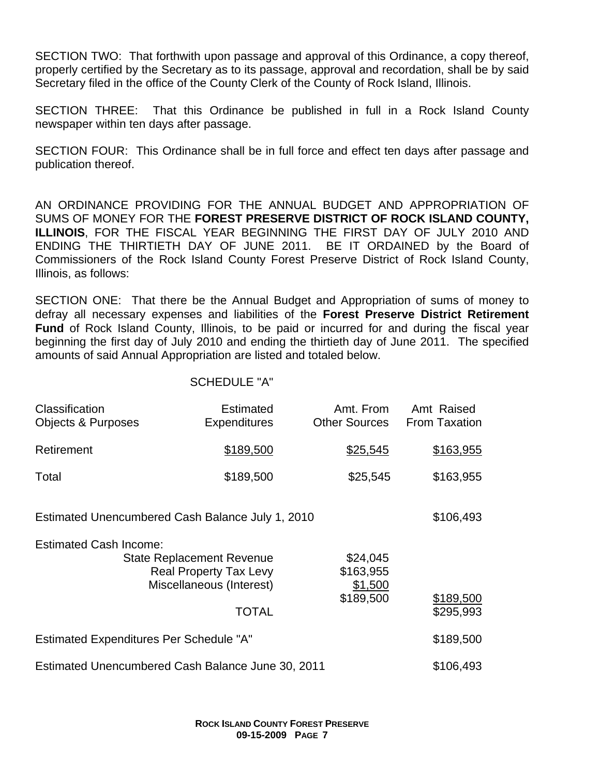SECTION TWO: That forthwith upon passage and approval of this Ordinance, a copy thereof, properly certified by the Secretary as to its passage, approval and recordation, shall be by said Secretary filed in the office of the County Clerk of the County of Rock Island, Illinois.

SECTION THREE: That this Ordinance be published in full in a Rock Island County newspaper within ten days after passage.

SECTION FOUR: This Ordinance shall be in full force and effect ten days after passage and publication thereof.

AN ORDINANCE PROVIDING FOR THE ANNUAL BUDGET AND APPROPRIATION OF SUMS OF MONEY FOR THE **FOREST PRESERVE DISTRICT OF ROCK ISLAND COUNTY, ILLINOIS**, FOR THE FISCAL YEAR BEGINNING THE FIRST DAY OF JULY 2010 AND ENDING THE THIRTIETH DAY OF JUNE 2011. BE IT ORDAINED by the Board of Commissioners of the Rock Island County Forest Preserve District of Rock Island County, Illinois, as follows:

SECTION ONE: That there be the Annual Budget and Appropriation of sums of money to defray all necessary expenses and liabilities of the **Forest Preserve District Retirement Fund** of Rock Island County, Illinois, to be paid or incurred for and during the fiscal year beginning the first day of July 2010 and ending the thirtieth day of June 2011. The specified amounts of said Annual Appropriation are listed and totaled below.

| Classification<br><b>Objects &amp; Purposes</b>   | Estimated<br><b>Expenditures</b>                                                                              | Amt. From<br><b>Other Sources</b>             | Amt Raised<br><b>From Taxation</b> |
|---------------------------------------------------|---------------------------------------------------------------------------------------------------------------|-----------------------------------------------|------------------------------------|
| Retirement                                        | \$189,500                                                                                                     | \$25,545                                      | \$163,955                          |
| Total                                             | \$189,500                                                                                                     | \$25,545                                      | \$163,955                          |
| Estimated Unencumbered Cash Balance July 1, 2010  |                                                                                                               |                                               | \$106,493                          |
| <b>Estimated Cash Income:</b>                     | <b>State Replacement Revenue</b><br><b>Real Property Tax Levy</b><br>Miscellaneous (Interest)<br><b>TOTAL</b> | \$24,045<br>\$163,955<br>\$1,500<br>\$189,500 | \$189,500<br>\$295,993             |
| <b>Estimated Expenditures Per Schedule "A"</b>    |                                                                                                               |                                               | \$189,500                          |
| Estimated Unencumbered Cash Balance June 30, 2011 |                                                                                                               |                                               | \$106,493                          |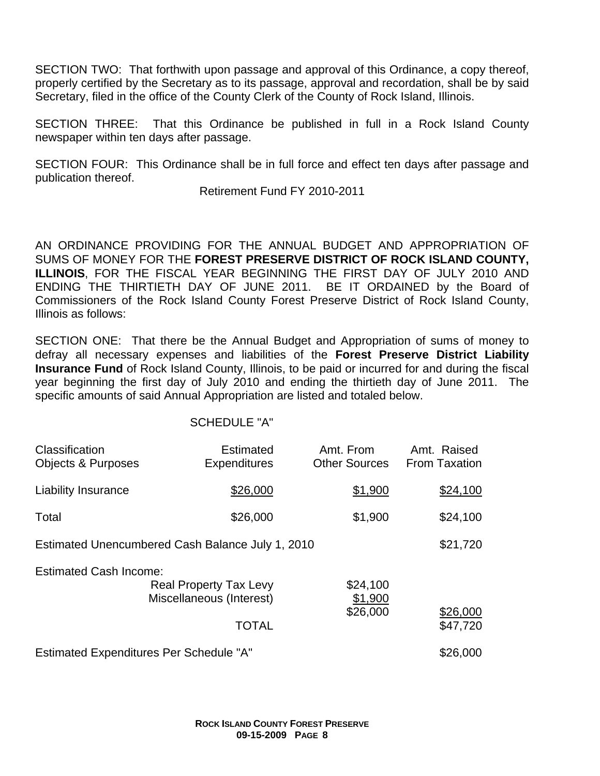SECTION TWO: That forthwith upon passage and approval of this Ordinance, a copy thereof, properly certified by the Secretary as to its passage, approval and recordation, shall be by said Secretary, filed in the office of the County Clerk of the County of Rock Island, Illinois.

SECTION THREE: That this Ordinance be published in full in a Rock Island County newspaper within ten days after passage.

SECTION FOUR: This Ordinance shall be in full force and effect ten days after passage and publication thereof.

Retirement Fund FY 2010-2011

AN ORDINANCE PROVIDING FOR THE ANNUAL BUDGET AND APPROPRIATION OF SUMS OF MONEY FOR THE **FOREST PRESERVE DISTRICT OF ROCK ISLAND COUNTY, ILLINOIS**, FOR THE FISCAL YEAR BEGINNING THE FIRST DAY OF JULY 2010 AND ENDING THE THIRTIETH DAY OF JUNE 2011. BE IT ORDAINED by the Board of Commissioners of the Rock Island County Forest Preserve District of Rock Island County, Illinois as follows:

SECTION ONE: That there be the Annual Budget and Appropriation of sums of money to defray all necessary expenses and liabilities of the **Forest Preserve District Liability Insurance Fund** of Rock Island County, Illinois, to be paid or incurred for and during the fiscal year beginning the first day of July 2010 and ending the thirtieth day of June 2011. The specific amounts of said Annual Appropriation are listed and totaled below.

| Classification<br><b>Objects &amp; Purposes</b>                                                                                               | <b>Estimated</b><br><b>Expenditures</b> | Amt. From<br><b>Other Sources</b> | Amt. Raised<br><b>From Taxation</b> |
|-----------------------------------------------------------------------------------------------------------------------------------------------|-----------------------------------------|-----------------------------------|-------------------------------------|
| <b>Liability Insurance</b>                                                                                                                    | \$26,000                                | \$1,900                           | \$24,100                            |
| Total                                                                                                                                         | \$26,000                                | \$1,900                           | \$24,100                            |
| Estimated Unencumbered Cash Balance July 1, 2010                                                                                              |                                         |                                   | \$21,720                            |
| <b>Estimated Cash Income:</b><br>\$24,100<br><b>Real Property Tax Levy</b><br>Miscellaneous (Interest)<br>\$1,900<br>\$26,000<br><b>TOTAL</b> |                                         | \$26,000<br>\$47,720              |                                     |
| <b>Estimated Expenditures Per Schedule "A"</b>                                                                                                |                                         |                                   | \$26,000                            |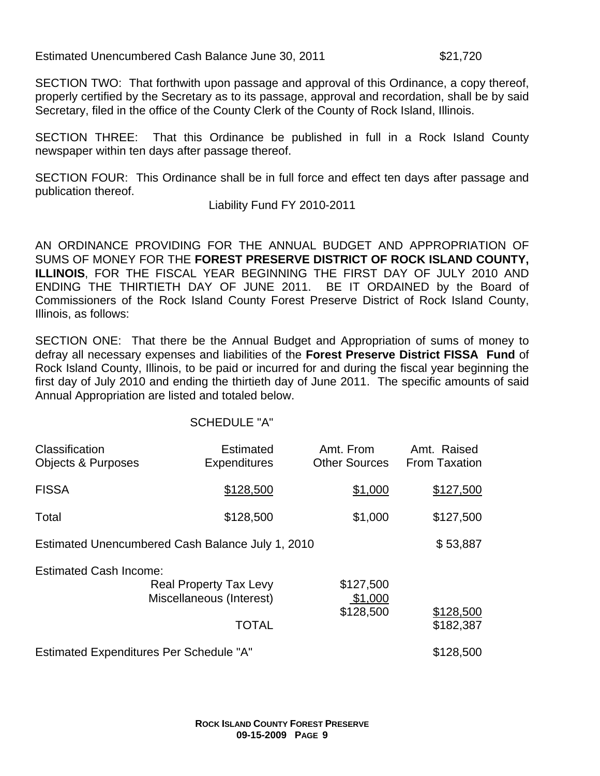Estimated Unencumbered Cash Balance June 30, 2011 **\$21,720** 

SECTION TWO: That forthwith upon passage and approval of this Ordinance, a copy thereof, properly certified by the Secretary as to its passage, approval and recordation, shall be by said Secretary, filed in the office of the County Clerk of the County of Rock Island, Illinois.

SECTION THREE: That this Ordinance be published in full in a Rock Island County newspaper within ten days after passage thereof.

SECTION FOUR: This Ordinance shall be in full force and effect ten days after passage and publication thereof.

Liability Fund FY 2010-2011

AN ORDINANCE PROVIDING FOR THE ANNUAL BUDGET AND APPROPRIATION OF SUMS OF MONEY FOR THE **FOREST PRESERVE DISTRICT OF ROCK ISLAND COUNTY, ILLINOIS**, FOR THE FISCAL YEAR BEGINNING THE FIRST DAY OF JULY 2010 AND ENDING THE THIRTIETH DAY OF JUNE 2011. BE IT ORDAINED by the Board of Commissioners of the Rock Island County Forest Preserve District of Rock Island County, Illinois, as follows:

SECTION ONE: That there be the Annual Budget and Appropriation of sums of money to defray all necessary expenses and liabilities of the **Forest Preserve District FISSA Fund** of Rock Island County, Illinois, to be paid or incurred for and during the fiscal year beginning the first day of July 2010 and ending the thirtieth day of June 2011. The specific amounts of said Annual Appropriation are listed and totaled below.

| Classification<br><b>Objects &amp; Purposes</b>  | <b>Estimated</b><br><b>Expenditures</b>                                   | Amt. From<br><b>Other Sources</b> | Amt. Raised<br><b>From Taxation</b> |
|--------------------------------------------------|---------------------------------------------------------------------------|-----------------------------------|-------------------------------------|
| <b>FISSA</b>                                     | \$128,500                                                                 | \$1,000                           | \$127,500                           |
| Total                                            | \$128,500                                                                 | \$1,000                           | \$127,500                           |
| Estimated Unencumbered Cash Balance July 1, 2010 |                                                                           |                                   | \$53,887                            |
| <b>Estimated Cash Income:</b>                    | <b>Real Property Tax Levy</b><br>Miscellaneous (Interest)<br><b>TOTAL</b> | \$127,500<br>\$1,000<br>\$128,500 | \$128,500<br>\$182,387              |
| <b>Estimated Expenditures Per Schedule "A"</b>   |                                                                           |                                   | \$128,500                           |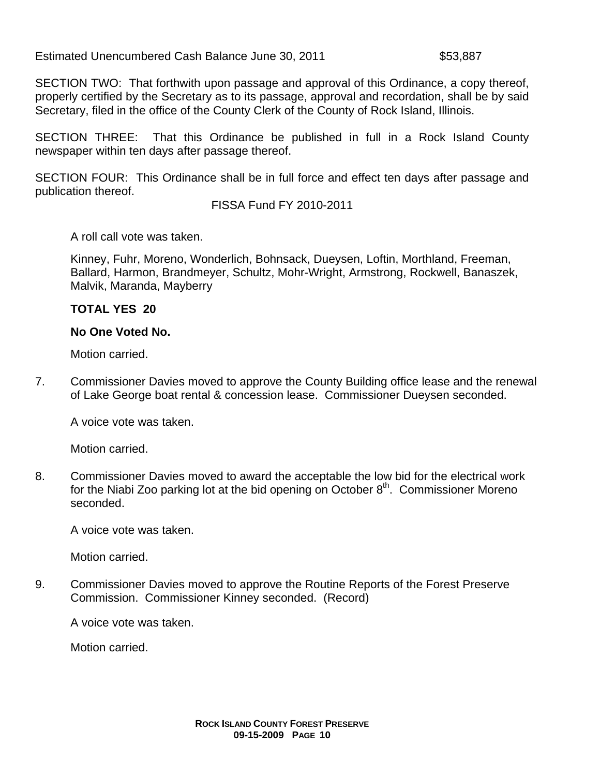Estimated Unencumbered Cash Balance June 30, 2011 **\$53,887** 

SECTION TWO: That forthwith upon passage and approval of this Ordinance, a copy thereof, properly certified by the Secretary as to its passage, approval and recordation, shall be by said Secretary, filed in the office of the County Clerk of the County of Rock Island, Illinois.

SECTION THREE: That this Ordinance be published in full in a Rock Island County newspaper within ten days after passage thereof.

SECTION FOUR: This Ordinance shall be in full force and effect ten days after passage and publication thereof.

FISSA Fund FY 2010-2011

A roll call vote was taken.

Kinney, Fuhr, Moreno, Wonderlich, Bohnsack, Dueysen, Loftin, Morthland, Freeman, Ballard, Harmon, Brandmeyer, Schultz, Mohr-Wright, Armstrong, Rockwell, Banaszek, Malvik, Maranda, Mayberry

## **TOTAL YES 20**

## **No One Voted No.**

Motion carried.

7. Commissioner Davies moved to approve the County Building office lease and the renewal of Lake George boat rental & concession lease. Commissioner Dueysen seconded.

A voice vote was taken.

Motion carried.

8. Commissioner Davies moved to award the acceptable the low bid for the electrical work for the Niabi Zoo parking lot at the bid opening on October  $8<sup>th</sup>$ . Commissioner Moreno seconded.

A voice vote was taken.

Motion carried.

9. Commissioner Davies moved to approve the Routine Reports of the Forest Preserve Commission. Commissioner Kinney seconded. (Record)

A voice vote was taken.

Motion carried.